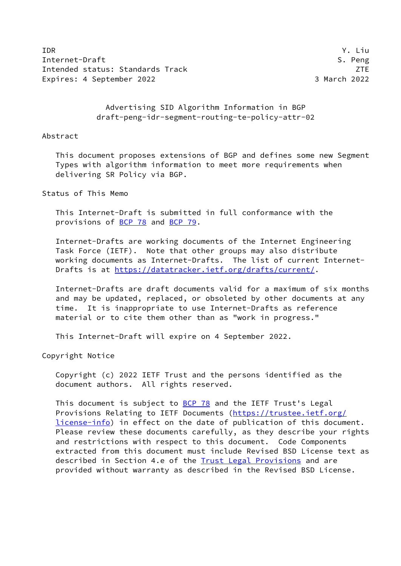IDR Y. Liu Internet-Draft S. Peng Intended status: Standards Track **Intended Status: Annual ZTE** Expires: 4 September 2022 3 March 2022

 Advertising SID Algorithm Information in BGP draft-peng-idr-segment-routing-te-policy-attr-02

### Abstract

 This document proposes extensions of BGP and defines some new Segment Types with algorithm information to meet more requirements when delivering SR Policy via BGP.

Status of This Memo

 This Internet-Draft is submitted in full conformance with the provisions of [BCP 78](https://datatracker.ietf.org/doc/pdf/bcp78) and [BCP 79](https://datatracker.ietf.org/doc/pdf/bcp79).

 Internet-Drafts are working documents of the Internet Engineering Task Force (IETF). Note that other groups may also distribute working documents as Internet-Drafts. The list of current Internet Drafts is at<https://datatracker.ietf.org/drafts/current/>.

 Internet-Drafts are draft documents valid for a maximum of six months and may be updated, replaced, or obsoleted by other documents at any time. It is inappropriate to use Internet-Drafts as reference material or to cite them other than as "work in progress."

This Internet-Draft will expire on 4 September 2022.

Copyright Notice

 Copyright (c) 2022 IETF Trust and the persons identified as the document authors. All rights reserved.

 This document is subject to [BCP 78](https://datatracker.ietf.org/doc/pdf/bcp78) and the IETF Trust's Legal Provisions Relating to IETF Documents ([https://trustee.ietf.org/](https://trustee.ietf.org/license-info) [license-info](https://trustee.ietf.org/license-info)) in effect on the date of publication of this document. Please review these documents carefully, as they describe your rights and restrictions with respect to this document. Code Components extracted from this document must include Revised BSD License text as described in Section 4.e of the **Trust Legal Provisions** and are provided without warranty as described in the Revised BSD License.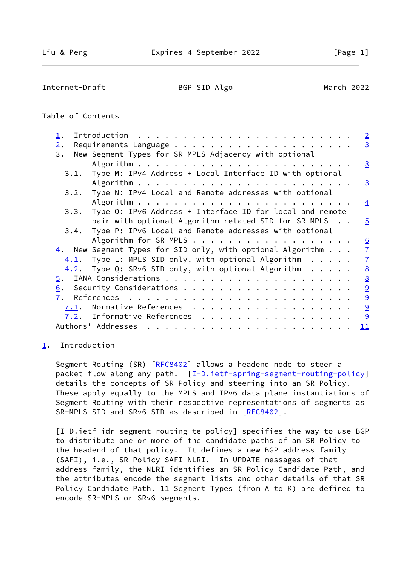<span id="page-1-1"></span>Internet-Draft BGP SID Algo March 2022

# Table of Contents

| $\mathbf 1$ . |      | $\overline{2}$                                                                            |
|---------------|------|-------------------------------------------------------------------------------------------|
| 2.            |      | $\overline{3}$                                                                            |
| 3.            |      | New Segment Types for SR-MPLS Adjacency with optional                                     |
|               |      | $\overline{3}$                                                                            |
|               | 3.1. | Type M: IPv4 Address + Local Interface ID with optional                                   |
|               |      | $\overline{3}$                                                                            |
|               |      | 3.2. Type N: IPv4 Local and Remote addresses with optional                                |
|               |      | $\overline{4}$                                                                            |
|               | 3.3. | Type O: IPv6 Address + Interface ID for local and remote                                  |
|               |      | pair with optional Algorithm related SID for SR MPLS<br>$\overline{5}$                    |
|               |      | 3.4. Type P: IPv6 Local and Remote addresses with optional                                |
|               |      | Algorithm for SR MPLS<br>6                                                                |
|               |      | $\frac{4}{1}$ . New Segment Types for SID only, with optional Algorithm<br>$\overline{1}$ |
|               | 4.1. | $\overline{1}$<br>Type L: MPLS SID only, with optional Algorithm $\ldots$ .               |
|               | 4.2. | $\underline{8}$<br>Type Q: SRv6 SID only, with optional Algorithm $\ldots$ .              |
| 5.            |      | $\underline{8}$                                                                           |
| 6.            |      | $\overline{9}$                                                                            |
| 7.            |      | $\overline{a}$                                                                            |
|               | 7.1. | $\overline{9}$<br>Normative References                                                    |
|               |      | 9<br>$\frac{7.2}{1.2}$ . Informative References                                           |
|               |      | Authors' Addresses<br>11                                                                  |
|               |      |                                                                                           |

# <span id="page-1-0"></span>[1](#page-1-0). Introduction

Segment Routing (SR) [\[RFC8402](https://datatracker.ietf.org/doc/pdf/rfc8402)] allows a headend node to steer a packet flow along any path. [\[I-D.ietf-spring-segment-routing-policy](#page-9-5)] details the concepts of SR Policy and steering into an SR Policy. These apply equally to the MPLS and IPv6 data plane instantiations of Segment Routing with their respective representations of segments as SR-MPLS SID and SRv6 SID as described in [\[RFC8402](https://datatracker.ietf.org/doc/pdf/rfc8402)].

<span id="page-1-2"></span> [I-D.ietf-idr-segment-routing-te-policy] specifies the way to use BGP to distribute one or more of the candidate paths of an SR Policy to the headend of that policy. It defines a new BGP address family (SAFI), i.e., SR Policy SAFI NLRI. In UPDATE messages of that address family, the NLRI identifies an SR Policy Candidate Path, and the attributes encode the segment lists and other details of that SR Policy Candidate Path. 11 Segment Types (from A to K) are defined to encode SR-MPLS or SRv6 segments.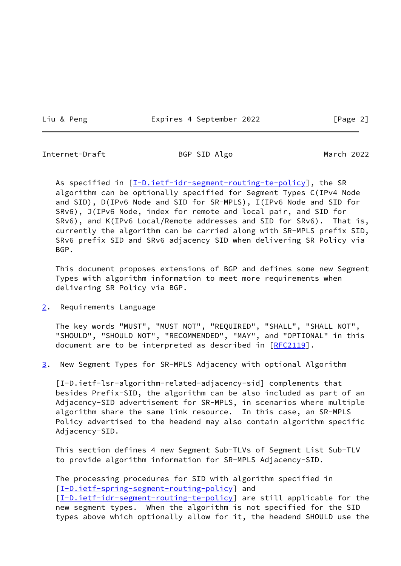Liu & Peng The Expires 4 September 2022 The Expansion (Page 2)

<span id="page-2-1"></span>Internet-Draft BGP SID Algo March 2022

As specified in [\[I-D.ietf-idr-segment-routing-te-policy](#page-1-2)], the SR algorithm can be optionally specified for Segment Types C(IPv4 Node and SID), D(IPv6 Node and SID for SR-MPLS), I(IPv6 Node and SID for SRv6), J(IPv6 Node, index for remote and local pair, and SID for SRv6), and K(IPv6 Local/Remote addresses and SID for SRv6). That is, currently the algorithm can be carried along with SR-MPLS prefix SID, SRv6 prefix SID and SRv6 adjacency SID when delivering SR Policy via BGP.

 This document proposes extensions of BGP and defines some new Segment Types with algorithm information to meet more requirements when delivering SR Policy via BGP.

<span id="page-2-0"></span>[2](#page-2-0). Requirements Language

 The key words "MUST", "MUST NOT", "REQUIRED", "SHALL", "SHALL NOT", "SHOULD", "SHOULD NOT", "RECOMMENDED", "MAY", and "OPTIONAL" in this document are to be interpreted as described in [\[RFC2119](https://datatracker.ietf.org/doc/pdf/rfc2119)].

<span id="page-2-2"></span>[3](#page-2-2). New Segment Types for SR-MPLS Adjacency with optional Algorithm

 [I-D.ietf-lsr-algorithm-related-adjacency-sid] complements that besides Prefix-SID, the algorithm can be also included as part of an Adjacency-SID advertisement for SR-MPLS, in scenarios where multiple algorithm share the same link resource. In this case, an SR-MPLS Policy advertised to the headend may also contain algorithm specific Adjacency-SID.

 This section defines 4 new Segment Sub-TLVs of Segment List Sub-TLV to provide algorithm information for SR-MPLS Adjacency-SID.

 The processing procedures for SID with algorithm specified in [\[I-D.ietf-spring-segment-routing-policy](#page-9-5)] and [\[I-D.ietf-idr-segment-routing-te-policy](#page-1-2)] are still applicable for the new segment types. When the algorithm is not specified for the SID types above which optionally allow for it, the headend SHOULD use the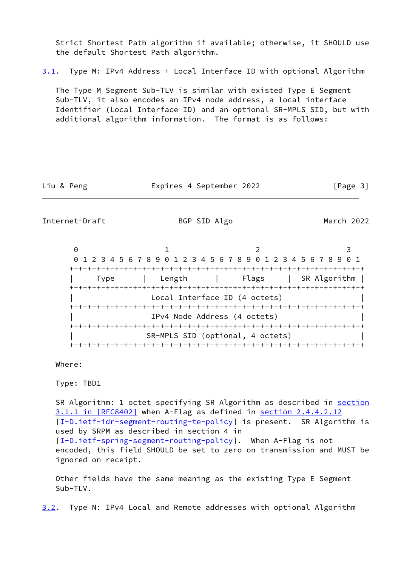Strict Shortest Path algorithm if available; otherwise, it SHOULD use the default Shortest Path algorithm.

<span id="page-3-1"></span>[3.1](#page-3-1). Type M: IPv4 Address + Local Interface ID with optional Algorithm

 The Type M Segment Sub-TLV is similar with existed Type E Segment Sub-TLV, it also encodes an IPv4 node address, a local interface Identifier (Local Interface ID) and an optional SR-MPLS SID, but with additional algorithm information. The format is as follows:

Liu & Peng Expires 4 September 2022 [Page 3]

<span id="page-3-0"></span>Internet-Draft BGP SID Algo March 2022

0 1 2 3 0 1 2 3 4 5 6 7 8 9 0 1 2 3 4 5 6 7 8 9 0 1 2 3 4 5 6 7 8 9 0 1 +-+-+-+-+-+-+-+-+-+-+-+-+-+-+-+-+-+-+-+-+-+-+-+-+-+-+-+-+-+-+-+-+ | Type | Length | Flags | SR Algorithm | +-+-+-+-+-+-+-+-+-+-+-+-+-+-+-+-+-+-+-+-+-+-+-+-+-+-+-+-+-+-+-+-+ Local Interface ID (4 octets) +-+-+-+-+-+-+-+-+-+-+-+-+-+-+-+-+-+-+-+-+-+-+-+-+-+-+-+-+-+-+-+-+ | IPv4 Node Address (4 octets) | +-+-+-+-+-+-+-+-+-+-+-+-+-+-+-+-+-+-+-+-+-+-+-+-+-+-+-+-+-+-+-+-+ | SR-MPLS SID (optional, 4 octets) | +-+-+-+-+-+-+-+-+-+-+-+-+-+-+-+-+-+-+-+-+-+-+-+-+-+-+-+-+-+-+-+-+

Where:

Type: TBD1

SR Algorithm: 1 octet specifying SR Algorithm as described in [section](https://datatracker.ietf.org/doc/pdf/rfc8402#section-3.1.1) [3.1.1 in \[RFC8402\]](https://datatracker.ietf.org/doc/pdf/rfc8402#section-3.1.1) when A-Flag as defined in section 2.4.4.2.12 [\[I-D.ietf-idr-segment-routing-te-policy](#page-1-2)] is present. SR Algorithm is used by SRPM as described in section 4 in [\[I-D.ietf-spring-segment-routing-policy](#page-9-5)]. When A-Flag is not encoded, this field SHOULD be set to zero on transmission and MUST be ignored on receipt.

 Other fields have the same meaning as the existing Type E Segment Sub-TLV.

<span id="page-3-2"></span>[3.2](#page-3-2). Type N: IPv4 Local and Remote addresses with optional Algorithm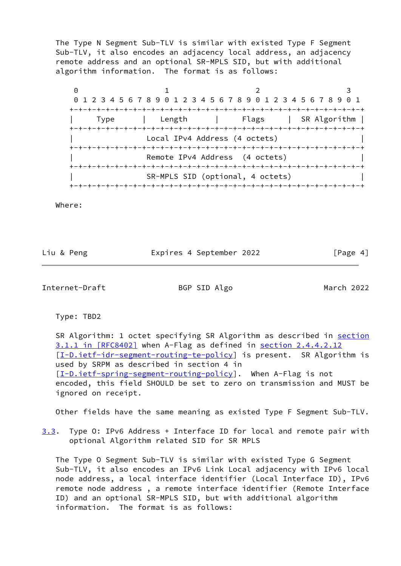The Type N Segment Sub-TLV is similar with existed Type F Segment Sub-TLV, it also encodes an adjacency local address, an adjacency remote address and an optional SR-MPLS SID, but with additional algorithm information. The format is as follows:

0 1 2 3 0 1 2 3 4 5 6 7 8 9 0 1 2 3 4 5 6 7 8 9 0 1 2 3 4 5 6 7 8 9 0 1 +-+-+-+-+-+-+-+-+-+-+-+-+-+-+-+-+-+-+-+-+-+-+-+-+-+-+-+-+-+-+-+-+ | Type | Length | Flags | SR Algorithm | +-+-+-+-+-+-+-+-+-+-+-+-+-+-+-+-+-+-+-+-+-+-+-+-+-+-+-+-+-+-+-+-+ Local IPv4 Address (4 octets) +-+-+-+-+-+-+-+-+-+-+-+-+-+-+-+-+-+-+-+-+-+-+-+-+-+-+-+-+-+-+-+-+ Remote IPv4 Address (4 octets) +-+-+-+-+-+-+-+-+-+-+-+-+-+-+-+-+-+-+-+-+-+-+-+-+-+-+-+-+-+-+-+-+ SR-MPLS SID (optional, 4 octets) +-+-+-+-+-+-+-+-+-+-+-+-+-+-+-+-+-+-+-+-+-+-+-+-+-+-+-+-+-+-+-+-+

Where:

Liu & Peng **Expires 4 September 2022** [Page 4]

<span id="page-4-0"></span>Internet-Draft BGP SID Algo March 2022

Type: TBD2

SR Algorithm: 1 octet specifying SR Algorithm as described in [section](https://datatracker.ietf.org/doc/pdf/rfc8402#section-3.1.1) [3.1.1 in \[RFC8402\]](https://datatracker.ietf.org/doc/pdf/rfc8402#section-3.1.1) when A-Flag as defined in section 2.4.4.2.12 [\[I-D.ietf-idr-segment-routing-te-policy](#page-1-2)] is present. SR Algorithm is used by SRPM as described in section 4 in [\[I-D.ietf-spring-segment-routing-policy](#page-9-5)]. When A-Flag is not encoded, this field SHOULD be set to zero on transmission and MUST be ignored on receipt.

Other fields have the same meaning as existed Type F Segment Sub-TLV.

<span id="page-4-1"></span>[3.3](#page-4-1). Type 0: IPv6 Address + Interface ID for local and remote pair with optional Algorithm related SID for SR MPLS

 The Type O Segment Sub-TLV is similar with existed Type G Segment Sub-TLV, it also encodes an IPv6 Link Local adjacency with IPv6 local node address, a local interface identifier (Local Interface ID), IPv6 remote node address , a remote interface identifier (Remote Interface ID) and an optional SR-MPLS SID, but with additional algorithm information. The format is as follows: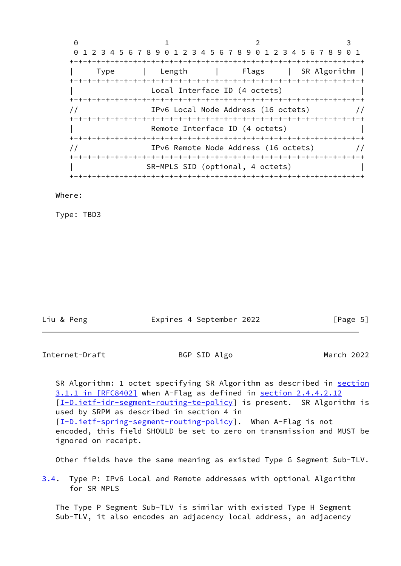|      | 0 1 2 3 4 5 6 7 8 9 0 1 2 3 4 5 6 7 8 9 0 1 2 3 4 5 6 7 8 9 0 1 |                                      |                      |  |
|------|-----------------------------------------------------------------|--------------------------------------|----------------------|--|
|      |                                                                 |                                      |                      |  |
| Type | Length                                                          |                                      | Flags   SR Algorithm |  |
|      |                                                                 |                                      |                      |  |
|      |                                                                 | Local Interface ID (4 octets)        |                      |  |
|      |                                                                 |                                      |                      |  |
|      |                                                                 | IPv6 Local Node Address (16 octets)  |                      |  |
|      |                                                                 |                                      |                      |  |
|      |                                                                 | Remote Interface ID (4 octets)       |                      |  |
|      |                                                                 |                                      |                      |  |
|      |                                                                 | IPv6 Remote Node Address (16 octets) |                      |  |
|      |                                                                 |                                      |                      |  |
|      |                                                                 | SR-MPLS SID (optional, 4 octets)     |                      |  |
|      |                                                                 | -+-+-+-+-+-+-+-+-+-+-+-+-+-+         |                      |  |

### Where:

Type: TBD3

| Liu & Peng | Expires 4 September 2022 | [Page 5] |
|------------|--------------------------|----------|
|            |                          |          |

<span id="page-5-0"></span>Internet-Draft BGP SID Algo March 2022

SR Algorithm: 1 octet specifying SR Algorithm as described in [section](https://datatracker.ietf.org/doc/pdf/rfc8402#section-3.1.1) [3.1.1 in \[RFC8402\]](https://datatracker.ietf.org/doc/pdf/rfc8402#section-3.1.1) when A-Flag as defined in section 2.4.4.2.12 [\[I-D.ietf-idr-segment-routing-te-policy](#page-1-2)] is present. SR Algorithm is used by SRPM as described in section 4 in [\[I-D.ietf-spring-segment-routing-policy](#page-9-5)]. When A-Flag is not encoded, this field SHOULD be set to zero on transmission and MUST be ignored on receipt.

Other fields have the same meaning as existed Type G Segment Sub-TLV.

<span id="page-5-1"></span>[3.4](#page-5-1). Type P: IPv6 Local and Remote addresses with optional Algorithm for SR MPLS

 The Type P Segment Sub-TLV is similar with existed Type H Segment Sub-TLV, it also encodes an adjacency local address, an adjacency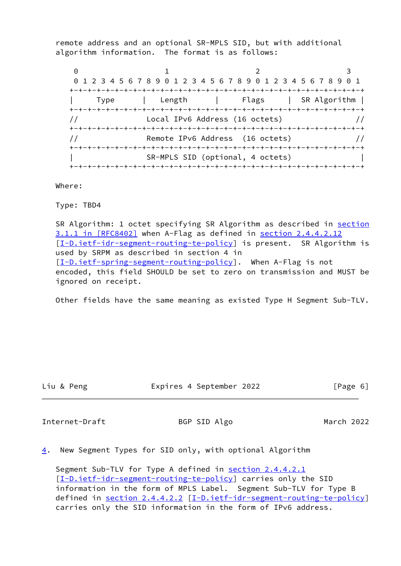remote address and an optional SR-MPLS SID, but with additional algorithm information. The format is as follows:

0 1 2 3 0 1 2 3 4 5 6 7 8 9 0 1 2 3 4 5 6 7 8 9 0 1 2 3 4 5 6 7 8 9 0 1 +-+-+-+-+-+-+-+-+-+-+-+-+-+-+-+-+-+-+-+-+-+-+-+-+-+-+-+-+-+-+-+-+ | Type | Length | Flags | SR Algorithm | +-+-+-+-+-+-+-+-+-+-+-+-+-+-+-+-+-+-+-+-+-+-+-+-+-+-+-+-+-+-+-+-+ // Local IPv6 Address (16 octets) // +-+-+-+-+-+-+-+-+-+-+-+-+-+-+-+-+-+-+-+-+-+-+-+-+-+-+-+-+-+-+-+-+ // Remote IPv6 Address (16 octets) // +-+-+-+-+-+-+-+-+-+-+-+-+-+-+-+-+-+-+-+-+-+-+-+-+-+-+-+-+-+-+-+-+ | SR-MPLS SID (optional, 4 octets) | +-+-+-+-+-+-+-+-+-+-+-+-+-+-+-+-+-+-+-+-+-+-+-+-+-+-+-+-+-+-+-+-+

Where:

Type: TBD4

SR Algorithm: 1 octet specifying SR Algorithm as described in [section](https://datatracker.ietf.org/doc/pdf/rfc8402#section-3.1.1) [3.1.1 in \[RFC8402\]](https://datatracker.ietf.org/doc/pdf/rfc8402#section-3.1.1) when A-Flag as defined in section 2.4.4.2.12 [\[I-D.ietf-idr-segment-routing-te-policy](#page-1-2)] is present. SR Algorithm is used by SRPM as described in section 4 in [\[I-D.ietf-spring-segment-routing-policy](#page-9-5)]. When A-Flag is not encoded, this field SHOULD be set to zero on transmission and MUST be ignored on receipt.

Other fields have the same meaning as existed Type H Segment Sub-TLV.

Liu & Peng Expires 4 September 2022 [Page 6]

<span id="page-6-1"></span>Internet-Draft BGP SID Algo March 2022

<span id="page-6-0"></span> $\underline{4}$  $\underline{4}$  $\underline{4}$ . New Segment Types for SID only, with optional Algorithm

Segment Sub-TLV for Type A defined in section 2.4.4.2.1 [\[I-D.ietf-idr-segment-routing-te-policy](#page-1-2)] carries only the SID information in the form of MPLS Label. Segment Sub-TLV for Type B defined in section 2.4.4.2.2 [\[I-D.ietf-idr-segment-routing-te-policy](#page-1-2)] carries only the SID information in the form of IPv6 address.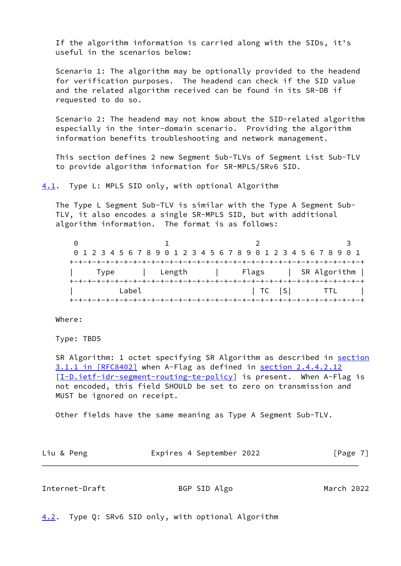If the algorithm information is carried along with the SIDs, it's useful in the scenarios below:

 Scenario 1: The algorithm may be optionally provided to the headend for verification purposes. The headend can check if the SID value and the related algorithm received can be found in its SR-DB if requested to do so.

 Scenario 2: The headend may not know about the SID-related algorithm especially in the inter-domain scenario. Providing the algorithm information benefits troubleshooting and network management.

 This section defines 2 new Segment Sub-TLVs of Segment List Sub-TLV to provide algorithm information for SR-MPLS/SRv6 SID.

<span id="page-7-0"></span>[4.1](#page-7-0). Type L: MPLS SID only, with optional Algorithm

 The Type L Segment Sub-TLV is similar with the Type A Segment Sub- TLV, it also encodes a single SR-MPLS SID, but with additional algorithm information. The format is as follows:

0 1 2 3 0 1 2 3 4 5 6 7 8 9 0 1 2 3 4 5 6 7 8 9 0 1 2 3 4 5 6 7 8 9 0 1 +-+-+-+-+-+-+-+-+-+-+-+-+-+-+-+-+-+-+-+-+-+-+-+-+-+-+-+-+-+-+-+-+ | Type | Length | Flags | SR Algorithm | +-+-+-+-+-+-+-+-+-+-+-+-+-+-+-+-+-+-+-+-+-+-+-+-+-+-+-+-+-+-+-+-+ | Label | TC |S| TTL | +-+-+-+-+-+-+-+-+-+-+-+-+-+-+-+-+-+-+-+-+-+-+-+-+-+-+-+-+-+-+-+-+

Where:

Type: TBD5

SR Algorithm: 1 octet specifying SR Algorithm as described in [section](https://datatracker.ietf.org/doc/pdf/rfc8402#section-3.1.1) [3.1.1 in \[RFC8402\]](https://datatracker.ietf.org/doc/pdf/rfc8402#section-3.1.1) when A-Flag as defined in section 2.4.4.2.12 [\[I-D.ietf-idr-segment-routing-te-policy](#page-1-2)] is present. When A-Flag is not encoded, this field SHOULD be set to zero on transmission and MUST be ignored on receipt.

Other fields have the same meaning as Type A Segment Sub-TLV.

| Liu & Peng | Expires 4 September 2022 | [Page 7] |
|------------|--------------------------|----------|
|            |                          |          |

<span id="page-7-2"></span>

| Internet-Draft | BGP SID Algo | March 2022 |
|----------------|--------------|------------|
|                |              |            |

<span id="page-7-1"></span>[4.2](#page-7-1). Type Q: SRv6 SID only, with optional Algorithm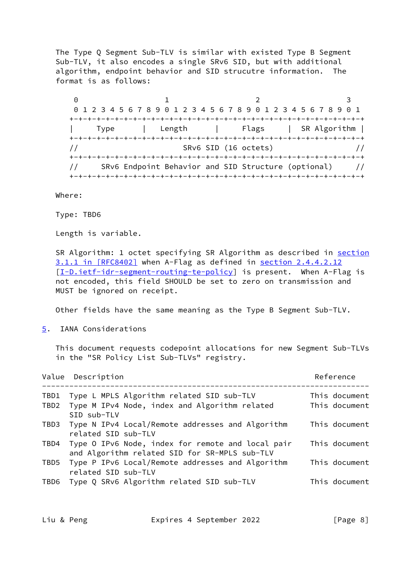The Type Q Segment Sub-TLV is similar with existed Type B Segment Sub-TLV, it also encodes a single SRv6 SID, but with additional algorithm, endpoint behavior and SID strucutre information. The format is as follows:

0 1 2 3 0 1 2 3 4 5 6 7 8 9 0 1 2 3 4 5 6 7 8 9 0 1 2 3 4 5 6 7 8 9 0 1 +-+-+-+-+-+-+-+-+-+-+-+-+-+-+-+-+-+-+-+-+-+-+-+-+-+-+-+-+-+-+-+-+ | Type | Length | Flags | SR Algorithm | +-+-+-+-+-+-+-+-+-+-+-+-+-+-+-+-+-+-+-+-+-+-+-+-+-+-+-+-+-+-+-+-+ // SRv6 SID (16 octets) // +-+-+-+-+-+-+-+-+-+-+-+-+-+-+-+-+-+-+-+-+-+-+-+-+-+-+-+-+-+-+-+-+ // SRv6 Endpoint Behavior and SID Structure (optional) // +-+-+-+-+-+-+-+-+-+-+-+-+-+-+-+-+-+-+-+-+-+-+-+-+-+-+-+-+-+-+-+-+

Where:

Type: TBD6

Length is variable.

SR Algorithm: 1 octet specifying SR Algorithm as described in [section](https://datatracker.ietf.org/doc/pdf/rfc8402#section-3.1.1) [3.1.1 in \[RFC8402\]](https://datatracker.ietf.org/doc/pdf/rfc8402#section-3.1.1) when A-Flag as defined in section 2.4.4.2.12 [\[I-D.ietf-idr-segment-routing-te-policy](#page-1-2)] is present. When A-Flag is not encoded, this field SHOULD be set to zero on transmission and MUST be ignored on receipt.

Other fields have the same meaning as the Type B Segment Sub-TLV.

<span id="page-8-0"></span>[5](#page-8-0). IANA Considerations

 This document requests codepoint allocations for new Segment Sub-TLVs in the "SR Policy List Sub-TLVs" registry.

|      | Value Description                                                                                  | Reference     |
|------|----------------------------------------------------------------------------------------------------|---------------|
| TBD1 | Type L MPLS Algorithm related SID sub-TLV                                                          | This document |
| TBD2 | Type M IPv4 Node, index and Algorithm related                                                      | This document |
|      | SID sub-TLV                                                                                        |               |
| TBD3 | Type N IPv4 Local/Remote addresses and Algorithm<br>related SID sub-TLV                            | This document |
| TBD4 | Type O IPv6 Node, index for remote and local pair<br>and Algorithm related SID for SR-MPLS sub-TLV | This document |
| TBD5 | Type P IPv6 Local/Remote addresses and Algorithm<br>related SID sub-TLV                            | This document |
|      | TBD6 Type Q SRv6 Algorithm related SID sub-TLV                                                     | This document |

Liu & Peng Expires 4 September 2022 [Page 8]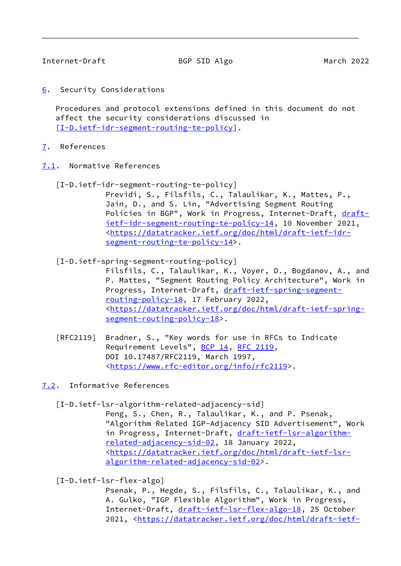<span id="page-9-1"></span><span id="page-9-0"></span>[6](#page-9-0). Security Considerations

 Procedures and protocol extensions defined in this document do not affect the security considerations discussed in [\[I-D.ietf-idr-segment-routing-te-policy](#page-1-2)].

- <span id="page-9-2"></span>[7](#page-9-2). References
- <span id="page-9-3"></span>[7.1](#page-9-3). Normative References
	- [I-D.ietf-idr-segment-routing-te-policy]

 Previdi, S., Filsfils, C., Talaulikar, K., Mattes, P., Jain, D., and S. Lin, "Advertising Segment Routing Policies in BGP", Work in Progress, Internet-Draft, [draft](https://datatracker.ietf.org/doc/pdf/draft-ietf-idr-segment-routing-te-policy-14) [ietf-idr-segment-routing-te-policy-14,](https://datatracker.ietf.org/doc/pdf/draft-ietf-idr-segment-routing-te-policy-14) 10 November 2021, <[https://datatracker.ietf.org/doc/html/draft-ietf-idr](https://datatracker.ietf.org/doc/html/draft-ietf-idr-segment-routing-te-policy-14) [segment-routing-te-policy-14>](https://datatracker.ietf.org/doc/html/draft-ietf-idr-segment-routing-te-policy-14).

<span id="page-9-5"></span>[I-D.ietf-spring-segment-routing-policy]

 Filsfils, C., Talaulikar, K., Voyer, D., Bogdanov, A., and P. Mattes, "Segment Routing Policy Architecture", Work in Progress, Internet-Draft, [draft-ietf-spring-segment](https://datatracker.ietf.org/doc/pdf/draft-ietf-spring-segment-routing-policy-18) [routing-policy-18,](https://datatracker.ietf.org/doc/pdf/draft-ietf-spring-segment-routing-policy-18) 17 February 2022, <[https://datatracker.ietf.org/doc/html/draft-ietf-spring](https://datatracker.ietf.org/doc/html/draft-ietf-spring-segment-routing-policy-18) [segment-routing-policy-18>](https://datatracker.ietf.org/doc/html/draft-ietf-spring-segment-routing-policy-18).

- [RFC2119] Bradner, S., "Key words for use in RFCs to Indicate Requirement Levels", [BCP 14](https://datatracker.ietf.org/doc/pdf/bcp14), [RFC 2119](https://datatracker.ietf.org/doc/pdf/rfc2119), DOI 10.17487/RFC2119, March 1997, <[https://www.rfc-editor.org/info/rfc2119>](https://www.rfc-editor.org/info/rfc2119).
- <span id="page-9-4"></span>[7.2](#page-9-4). Informative References
	- [I-D.ietf-lsr-algorithm-related-adjacency-sid]

 Peng, S., Chen, R., Talaulikar, K., and P. Psenak, "Algorithm Related IGP-Adjacency SID Advertisement", Work in Progress, Internet-Draft, [draft-ietf-lsr-algorithm](https://datatracker.ietf.org/doc/pdf/draft-ietf-lsr-algorithm-related-adjacency-sid-02) [related-adjacency-sid-02,](https://datatracker.ietf.org/doc/pdf/draft-ietf-lsr-algorithm-related-adjacency-sid-02) 18 January 2022, <[https://datatracker.ietf.org/doc/html/draft-ietf-lsr](https://datatracker.ietf.org/doc/html/draft-ietf-lsr-algorithm-related-adjacency-sid-02) [algorithm-related-adjacency-sid-02>](https://datatracker.ietf.org/doc/html/draft-ietf-lsr-algorithm-related-adjacency-sid-02).

[I-D.ietf-lsr-flex-algo]

 Psenak, P., Hegde, S., Filsfils, C., Talaulikar, K., and A. Gulko, "IGP Flexible Algorithm", Work in Progress, Internet-Draft, [draft-ietf-lsr-flex-algo-18](https://datatracker.ietf.org/doc/pdf/draft-ietf-lsr-flex-algo-18), 25 October 2021, [<https://datatracker.ietf.org/doc/html/draft-ietf-](https://datatracker.ietf.org/doc/html/draft-ietf-lsr-flex-algo-18)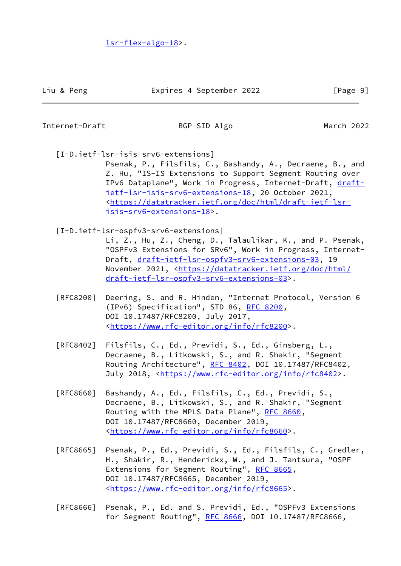[lsr-flex-algo-18>](https://datatracker.ietf.org/doc/html/draft-ietf-lsr-flex-algo-18).

Internet-Draft BGP SID Algo March 2022

[I-D.ietf-lsr-isis-srv6-extensions]

 Psenak, P., Filsfils, C., Bashandy, A., Decraene, B., and Z. Hu, "IS-IS Extensions to Support Segment Routing over IPv6 Dataplane", Work in Progress, Internet-Draft, [draft](https://datatracker.ietf.org/doc/pdf/draft-ietf-lsr-isis-srv6-extensions-18) [ietf-lsr-isis-srv6-extensions-18,](https://datatracker.ietf.org/doc/pdf/draft-ietf-lsr-isis-srv6-extensions-18) 20 October 2021, <[https://datatracker.ietf.org/doc/html/draft-ietf-lsr](https://datatracker.ietf.org/doc/html/draft-ietf-lsr-isis-srv6-extensions-18) [isis-srv6-extensions-18](https://datatracker.ietf.org/doc/html/draft-ietf-lsr-isis-srv6-extensions-18)>.

- [I-D.ietf-lsr-ospfv3-srv6-extensions]
	- Li, Z., Hu, Z., Cheng, D., Talaulikar, K., and P. Psenak, "OSPFv3 Extensions for SRv6", Work in Progress, Internet- Draft, [draft-ietf-lsr-ospfv3-srv6-extensions-03](https://datatracker.ietf.org/doc/pdf/draft-ietf-lsr-ospfv3-srv6-extensions-03), 19 November 2021, <[https://datatracker.ietf.org/doc/html/](https://datatracker.ietf.org/doc/html/draft-ietf-lsr-ospfv3-srv6-extensions-03) [draft-ietf-lsr-ospfv3-srv6-extensions-03>](https://datatracker.ietf.org/doc/html/draft-ietf-lsr-ospfv3-srv6-extensions-03).
- [RFC8200] Deering, S. and R. Hinden, "Internet Protocol, Version 6 (IPv6) Specification", STD 86, [RFC 8200](https://datatracker.ietf.org/doc/pdf/rfc8200), DOI 10.17487/RFC8200, July 2017, <[https://www.rfc-editor.org/info/rfc8200>](https://www.rfc-editor.org/info/rfc8200).
- [RFC8402] Filsfils, C., Ed., Previdi, S., Ed., Ginsberg, L., Decraene, B., Litkowski, S., and R. Shakir, "Segment Routing Architecture", [RFC 8402](https://datatracker.ietf.org/doc/pdf/rfc8402), DOI 10.17487/RFC8402, July 2018, <<https://www.rfc-editor.org/info/rfc8402>>.
- [RFC8660] Bashandy, A., Ed., Filsfils, C., Ed., Previdi, S., Decraene, B., Litkowski, S., and R. Shakir, "Segment Routing with the MPLS Data Plane", [RFC 8660](https://datatracker.ietf.org/doc/pdf/rfc8660), DOI 10.17487/RFC8660, December 2019, <[https://www.rfc-editor.org/info/rfc8660>](https://www.rfc-editor.org/info/rfc8660).
- [RFC8665] Psenak, P., Ed., Previdi, S., Ed., Filsfils, C., Gredler, H., Shakir, R., Henderickx, W., and J. Tantsura, "OSPF Extensions for Segment Routing", [RFC 8665,](https://datatracker.ietf.org/doc/pdf/rfc8665) DOI 10.17487/RFC8665, December 2019, <[https://www.rfc-editor.org/info/rfc8665>](https://www.rfc-editor.org/info/rfc8665).
- [RFC8666] Psenak, P., Ed. and S. Previdi, Ed., "OSPFv3 Extensions for Segment Routing", [RFC 8666](https://datatracker.ietf.org/doc/pdf/rfc8666), DOI 10.17487/RFC8666,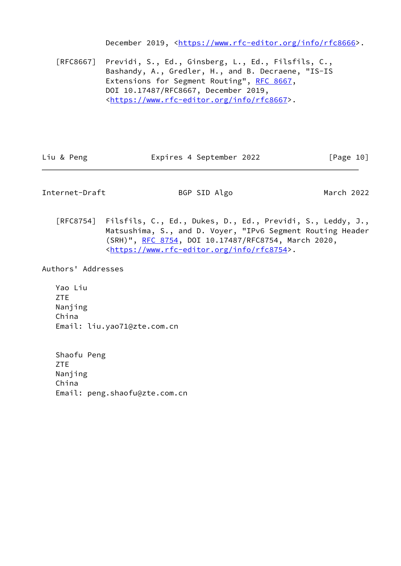December 2019, <<https://www.rfc-editor.org/info/rfc8666>>.

 [RFC8667] Previdi, S., Ed., Ginsberg, L., Ed., Filsfils, C., Bashandy, A., Gredler, H., and B. Decraene, "IS-IS Extensions for Segment Routing", [RFC 8667,](https://datatracker.ietf.org/doc/pdf/rfc8667) DOI 10.17487/RFC8667, December 2019, <[https://www.rfc-editor.org/info/rfc8667>](https://www.rfc-editor.org/info/rfc8667).

| Liu & Peng | Expires 4 September 2022 | [Page 10] |  |
|------------|--------------------------|-----------|--|
|            |                          |           |  |

<span id="page-11-0"></span>Internet-Draft BGP SID Algo March 2022

 [RFC8754] Filsfils, C., Ed., Dukes, D., Ed., Previdi, S., Leddy, J., Matsushima, S., and D. Voyer, "IPv6 Segment Routing Header (SRH)", [RFC 8754,](https://datatracker.ietf.org/doc/pdf/rfc8754) DOI 10.17487/RFC8754, March 2020, <[https://www.rfc-editor.org/info/rfc8754>](https://www.rfc-editor.org/info/rfc8754).

Authors' Addresses

 Yao Liu ZTE Nanjing China Email: liu.yao71@zte.com.cn

 Shaofu Peng ZTE Nanjing China Email: peng.shaofu@zte.com.cn